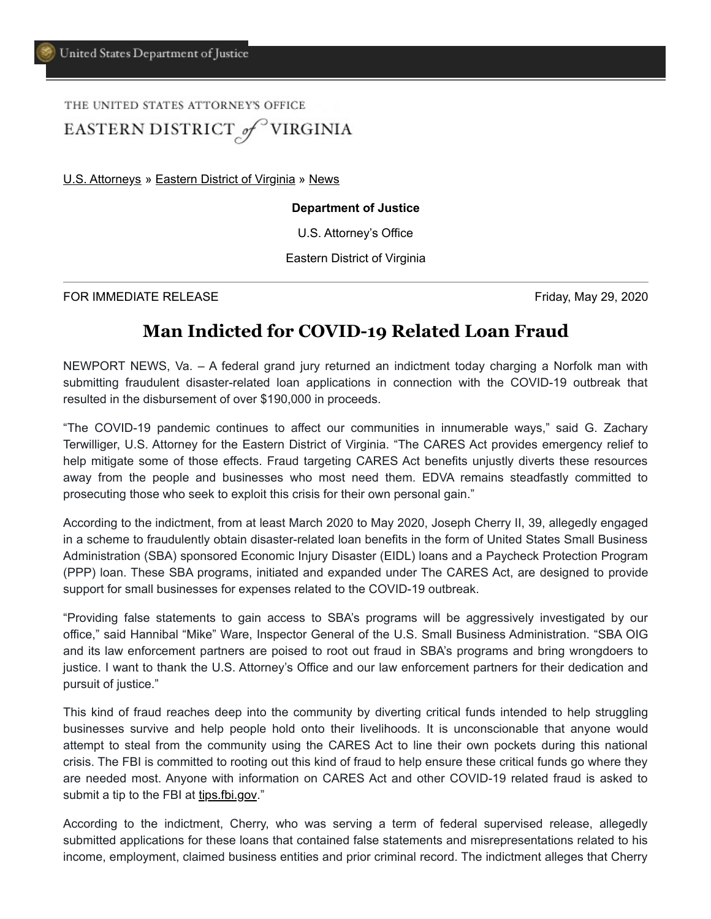## THE UNITED STATES ATTORNEY'S OFFICE EASTERN DISTRICT of VIRGINIA

[U.S. Attorneys](https://www.justice.gov/usao) » [Eastern District of Virginia](https://www.justice.gov/usao-edva) » [News](https://www.justice.gov/usao-edva/pr)

## **Department of Justice**

U.S. Attorney's Office

Eastern District of Virginia

FOR IMMEDIATE RELEASE Friday, May 29, 2020

## **Man Indicted for COVID-19 Related Loan Fraud**

NEWPORT NEWS, Va. – A federal grand jury returned an indictment today charging a Norfolk man with submitting fraudulent disaster-related loan applications in connection with the COVID-19 outbreak that resulted in the disbursement of over \$190,000 in proceeds.

"The COVID-19 pandemic continues to affect our communities in innumerable ways," said G. Zachary Terwilliger, U.S. Attorney for the Eastern District of Virginia. "The CARES Act provides emergency relief to help mitigate some of those effects. Fraud targeting CARES Act benefits unjustly diverts these resources away from the people and businesses who most need them. EDVA remains steadfastly committed to prosecuting those who seek to exploit this crisis for their own personal gain."

According to the indictment, from at least March 2020 to May 2020, Joseph Cherry II, 39, allegedly engaged in a scheme to fraudulently obtain disaster-related loan benefits in the form of United States Small Business Administration (SBA) sponsored Economic Injury Disaster (EIDL) loans and a Paycheck Protection Program (PPP) loan. These SBA programs, initiated and expanded under The CARES Act, are designed to provide support for small businesses for expenses related to the COVID-19 outbreak.

"Providing false statements to gain access to SBA's programs will be aggressively investigated by our office," said Hannibal "Mike" Ware, Inspector General of the U.S. Small Business Administration. "SBA OIG and its law enforcement partners are poised to root out fraud in SBA's programs and bring wrongdoers to justice. I want to thank the U.S. Attorney's Office and our law enforcement partners for their dedication and pursuit of justice."

This kind of fraud reaches deep into the community by diverting critical funds intended to help struggling businesses survive and help people hold onto their livelihoods. It is unconscionable that anyone would attempt to steal from the community using the CARES Act to line their own pockets during this national crisis. The FBI is committed to rooting out this kind of fraud to help ensure these critical funds go where they are needed most. Anyone with information on CARES Act and other COVID-19 related fraud is asked to submit a tip to the FBI at <u>tips.fbi.gov</u>."

According to the indictment, Cherry, who was serving a term of federal supervised release, allegedly submitted applications for these loans that contained false statements and misrepresentations related to his income, employment, claimed business entities and prior criminal record. The indictment alleges that Cherry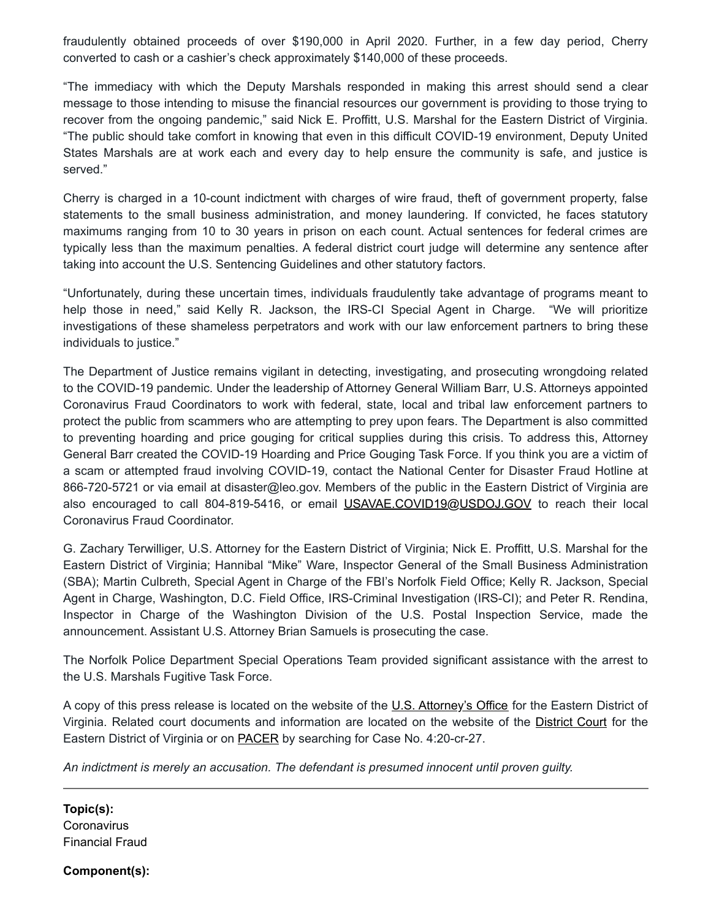fraudulently obtained proceeds of over \$190,000 in April 2020. Further, in a few day period, Cherry converted to cash or a cashier's check approximately \$140,000 of these proceeds.

"The immediacy with which the Deputy Marshals responded in making this arrest should send a clear message to those intending to misuse the financial resources our government is providing to those trying to recover from the ongoing pandemic," said Nick E. Proffitt, U.S. Marshal for the Eastern District of Virginia. "The public should take comfort in knowing that even in this difficult COVID-19 environment, Deputy United States Marshals are at work each and every day to help ensure the community is safe, and justice is served."

Cherry is charged in a 10-count indictment with charges of wire fraud, theft of government property, false statements to the small business administration, and money laundering. If convicted, he faces statutory maximums ranging from 10 to 30 years in prison on each count. Actual sentences for federal crimes are typically less than the maximum penalties. A federal district court judge will determine any sentence after taking into account the U.S. Sentencing Guidelines and other statutory factors.

"Unfortunately, during these uncertain times, individuals fraudulently take advantage of programs meant to help those in need," said Kelly R. Jackson, the IRS-CI Special Agent in Charge. "We will prioritize investigations of these shameless perpetrators and work with our law enforcement partners to bring these individuals to justice."

The Department of Justice remains vigilant in detecting, investigating, and prosecuting wrongdoing related to the COVID-19 pandemic. Under the leadership of Attorney General William Barr, U.S. Attorneys appointed Coronavirus Fraud Coordinators to work with federal, state, local and tribal law enforcement partners to protect the public from scammers who are attempting to prey upon fears. The Department is also committed to preventing hoarding and price gouging for critical supplies during this crisis. To address this, Attorney General Barr created the COVID-19 Hoarding and Price Gouging Task Force. If you think you are a victim of a scam or attempted fraud involving COVID-19, contact the National Center for Disaster Fraud Hotline at 866-720-5721 or via email at disaster@leo.gov. Members of the public in the Eastern District of Virginia are also encouraged to call 804-819-5416, or email [USAVAE.COVID19@USDOJ.GOV](mailto:USAVAE.COVID19@USDOJ.GOV) to reach their local Coronavirus Fraud Coordinator.

G. Zachary Terwilliger, U.S. Attorney for the Eastern District of Virginia; Nick E. Proffitt, U.S. Marshal for the Eastern District of Virginia; Hannibal "Mike" Ware, Inspector General of the Small Business Administration (SBA); Martin Culbreth, Special Agent in Charge of the FBI's Norfolk Field Office; Kelly R. Jackson, Special Agent in Charge, Washington, D.C. Field Office, IRS-Criminal Investigation (IRS-CI); and Peter R. Rendina, Inspector in Charge of the Washington Division of the U.S. Postal Inspection Service, made the announcement. Assistant U.S. Attorney Brian Samuels is prosecuting the case.

The Norfolk Police Department Special Operations Team provided significant assistance with the arrest to the U.S. Marshals Fugitive Task Force.

A copy of this press release is located on the website of the [U.S. Attorney's Office](https://www.justice.gov/usao/vae) for the Eastern District of Virginia. Related court documents and information are located on the website of the [District Court](http://www.vaed.uscourts.gov/) for the Eastern District of Virginia or on **PACER** by searching for Case No. 4:20-cr-27.

*An indictment is merely an accusation. The defendant is presumed innocent until proven guilty.*

**Topic(s): Coronavirus** Financial Fraud

**Component(s):**